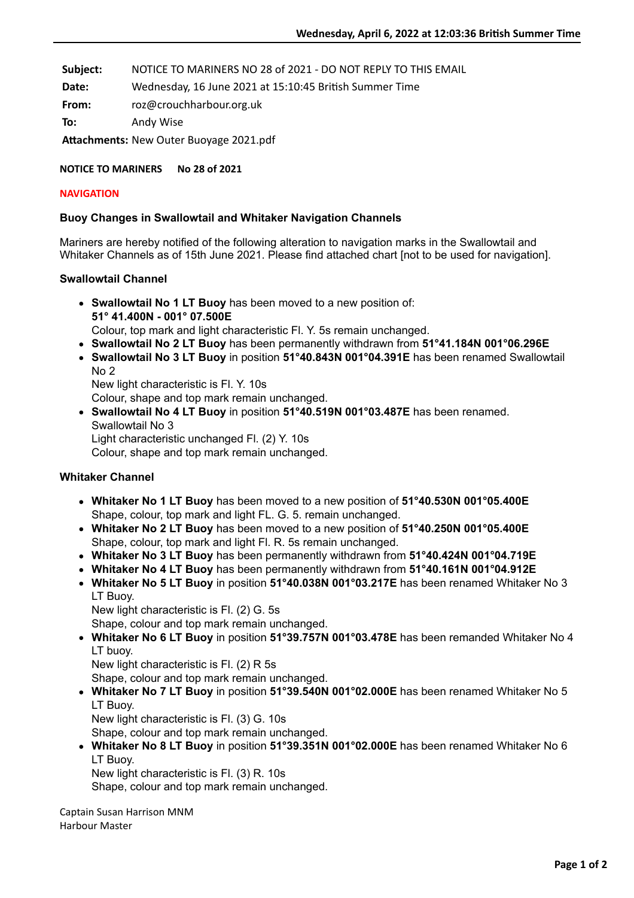**Subject:** NOTICE TO MARINERS NO 28 of 2021 - DO NOT REPLY TO THIS EMAIL

Date: Wednesday, 16 June 2021 at 15:10:45 British Summer Time

**From:** roz@crouchharbour.org.uk

**To:** Andy Wise

Attachments: New Outer Buoyage 2021.pdf

**NOTICE TO MARINERS No 28 of 2021**

### **NAVIGATION**

# **Buoy Changes in Swallowtail and Whitaker Navigation Channels**

Mariners are hereby notified of the following alteration to navigation marks in the Swallowtail and Whitaker Channels as of 15th June 2021. Please find attached chart [not to be used for navigation].

# **Swallowtail Channel**

- **Swallowtail No 1 LT Buoy** has been moved to a new position of: **51° 41.400N - 001° 07.500E** Colour, top mark and light characteristic Fl. Y. 5s remain unchanged.
- **Swallowtail No 2 LT Buoy** has been permanently withdrawn from **51°41.184N 001°06.296E**
- **Swallowtail No 3 LT Buoy** in position **51°40.843N 001°04.391E** has been renamed Swallowtail No 2

New light characteristic is Fl. Y. 10s

Colour, shape and top mark remain unchanged.

**Swallowtail No 4 LT Buoy** in position **51°40.519N 001°03.487E** has been renamed. Swallowtail No 3 Light characteristic unchanged Fl. (2) Y. 10s

Colour, shape and top mark remain unchanged.

# **Whitaker Channel**

- **Whitaker No 1 LT Buoy** has been moved to a new position of **51°40.530N 001°05.400E** Shape, colour, top mark and light FL. G. 5. remain unchanged.
- **Whitaker No 2 LT Buoy** has been moved to a new position of **51°40.250N 001°05.400E** Shape, colour, top mark and light Fl. R. 5s remain unchanged.
- **Whitaker No 3 LT Buoy** has been permanently withdrawn from **51°40.424N 001°04.719E**
- **Whitaker No 4 LT Buoy** has been permanently withdrawn from **51°40.161N 001°04.912E**
- **Whitaker No 5 LT Buoy** in position **51°40.038N 001°03.217E** has been renamed Whitaker No 3 LT Buoy.
	- New light characteristic is Fl. (2) G. 5s

Shape, colour and top mark remain unchanged.

- **Whitaker No 6 LT Buoy** in position **51°39.757N 001°03.478E** has been remanded Whitaker No 4 LT buoy.
	- New light characteristic is Fl. (2) R 5s

Shape, colour and top mark remain unchanged.

**Whitaker No 7 LT Buoy** in position **51°39.540N 001°02.000E** has been renamed Whitaker No 5 LT Buoy.

New light characteristic is Fl. (3) G. 10s

Shape, colour and top mark remain unchanged.

**Whitaker No 8 LT Buoy** in position **51°39.351N 001°02.000E** has been renamed Whitaker No 6 LT Buoy.

New light characteristic is Fl. (3) R. 10s

Shape, colour and top mark remain unchanged.

Captain Susan Harrison MNM Harbour Master